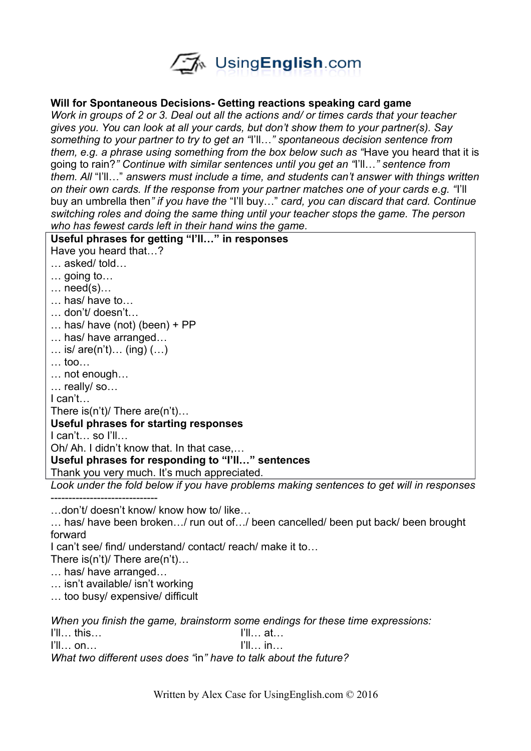

#### **Will for Spontaneous Decisions- Getting reactions speaking card game**

*Work in groups of 2 or 3. Deal out all the actions and/ or times cards that your teacher gives you. You can look at all your cards, but don't show them to your partner(s). Say something to your partner to try to get an "*I'll…*" spontaneous decision sentence from them, e.g. a phrase using something from the box below such as "*Have you heard that it is going to rain?*" Continue with similar sentences until you get an "*I'll…*" sentence from them. All* "I'll…" *answers must include a time, and students can't answer with things written on their own cards. If the response from your partner matches one of your cards e.g. "*I'll buy an umbrella then*" if you have the* "I'll buy…" *card, you can discard that card. Continue switching roles and doing the same thing until your teacher stops the game. The person who has fewest cards left in their hand wins the game.* 

# **Useful phrases for getting "I'll…" in responses**

Have you heard that…?

- … asked/ told…
- … going to…
- $\ldots$  need(s) $\ldots$
- … has/ have to…
- … don't/ doesn't…
- … has/ have (not) (been) + PP
- … has/ have arranged…
- … is/ are(n't)… (ing) (…)
- … too…
- … not enough…
- … really/ so…

I can't…

There is(n't)/ There are(n't)…

#### **Useful phrases for starting responses**

I can't… so I'll…

Oh/ Ah. I didn't know that. In that case,…

## **Useful phrases for responding to "I'll…" sentences**

Thank you very much. It's much appreciated.

*Look under the fold below if you have problems making sentences to get will in responses*

…don't/ doesn't know/ know how to/ like…

… has/ have been broken…/ run out of…/ been cancelled/ been put back/ been brought forward

I can't see/ find/ understand/ contact/ reach/ make it to…

There is(n't)/ There are(n't)…

… has/ have arranged…

------------------------------

… isn't available/ isn't working

… too busy/ expensive/ difficult

*When you finish the game, brainstorm some endings for these time expressions:* I'll… this… I'll… at…

I'll… on… I'll… in…

*What two different uses does "*in*" have to talk about the future?*